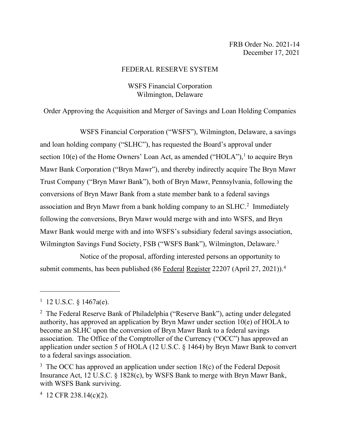#### FEDERAL RESERVE SYSTEM

## WSFS Financial Corporation Wilmington, Delaware

Order Approving the Acquisition and Merger of Savings and Loan Holding Companies

WSFS Financial Corporation ("WSFS"), Wilmington, Delaware, a savings and loan holding company ("SLHC"), has requested the Board's approval under section [1](#page-0-0)0(e) of the Home Owners' Loan Act, as amended ("HOLA"), $<sup>1</sup>$  to acquire Bryn</sup> Mawr Bank Corporation ("Bryn Mawr"), and thereby indirectly acquire The Bryn Mawr Trust Company ("Bryn Mawr Bank"), both of Bryn Mawr, Pennsylvania, following the conversions of Bryn Mawr Bank from a state member bank to a federal savings association and Bryn Mawr from a bank holding company to an SLHC. [2](#page-0-1) Immediately following the conversions, Bryn Mawr would merge with and into WSFS, and Bryn Mawr Bank would merge with and into WSFS's subsidiary federal savings association, Wilmington Savings Fund Society, FSB ("WSFS Bank"), Wilmington, Delaware.<sup>[3](#page-0-2)</sup>

Notice of the proposal, affording interested persons an opportunity to submit comments, has been published (86 Federal Register 22207 (April 27, 2021)).<sup>[4](#page-0-3)</sup>

<span id="page-0-3"></span>4 12 CFR 238.14(c)(2).

<span id="page-0-0"></span><sup>&</sup>lt;sup>1</sup> 12 U.S.C.  $\S$  1467a(e).

<span id="page-0-1"></span><sup>&</sup>lt;sup>2</sup> The Federal Reserve Bank of Philadelphia ("Reserve Bank"), acting under delegated authority, has approved an application by Bryn Mawr under section 10(e) of HOLA to become an SLHC upon the conversion of Bryn Mawr Bank to a federal savings association. The Office of the Comptroller of the Currency ("OCC") has approved an application under section 5 of HOLA (12 U.S.C. § 1464) by Bryn Mawr Bank to convert to a federal savings association.

<span id="page-0-2"></span><sup>&</sup>lt;sup>3</sup> The OCC has approved an application under section  $18(c)$  of the Federal Deposit Insurance Act, 12 U.S.C. § 1828(c), by WSFS Bank to merge with Bryn Mawr Bank, with WSFS Bank surviving.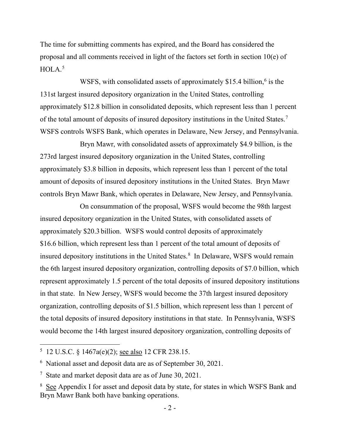The time for submitting comments has expired, and the Board has considered the proposal and all comments received in light of the factors set forth in section 10(e) of HOLA. [5](#page-1-0)

WSFS, with consolidated assets of approximately \$15.4 billion,<sup>[6](#page-1-1)</sup> is the 131st largest insured depository organization in the United States, controlling approximately \$12.8 billion in consolidated deposits, which represent less than 1 percent of the total amount of deposits of insured depository institutions in the United States.[7](#page-1-2) WSFS controls WSFS Bank, which operates in Delaware, New Jersey, and Pennsylvania.

Bryn Mawr, with consolidated assets of approximately \$4.9 billion, is the 273rd largest insured depository organization in the United States, controlling approximately \$3.8 billion in deposits, which represent less than 1 percent of the total amount of deposits of insured depository institutions in the United States. Bryn Mawr controls Bryn Mawr Bank, which operates in Delaware, New Jersey, and Pennsylvania.

On consummation of the proposal, WSFS would become the 98th largest insured depository organization in the United States, with consolidated assets of approximately \$20.3 billion. WSFS would control deposits of approximately \$16.6 billion, which represent less than 1 percent of the total amount of deposits of insured depository institutions in the United States.<sup>[8](#page-1-3)</sup> In Delaware, WSFS would remain the 6th largest insured depository organization, controlling deposits of \$7.0 billion, which represent approximately 1.5 percent of the total deposits of insured depository institutions in that state. In New Jersey, WSFS would become the 37th largest insured depository organization, controlling deposits of \$1.5 billion, which represent less than 1 percent of the total deposits of insured depository institutions in that state. In Pennsylvania, WSFS would become the 14th largest insured depository organization, controlling deposits of

<span id="page-1-0"></span><sup>&</sup>lt;sup>5</sup> 12 U.S.C. § 1467a(e)(2); <u>see also</u> 12 CFR 238.15.

<span id="page-1-1"></span><sup>6</sup> National asset and deposit data are as of September 30, 2021.

<span id="page-1-2"></span><sup>&</sup>lt;sup>7</sup> State and market deposit data are as of June 30, 2021.

<span id="page-1-3"></span><sup>&</sup>lt;sup>8</sup> See Appendix I for asset and deposit data by state, for states in which WSFS Bank and Bryn Mawr Bank both have banking operations.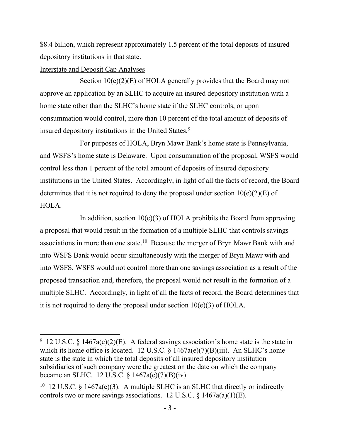\$8.4 billion, which represent approximately 1.5 percent of the total deposits of insured depository institutions in that state.

#### Interstate and Deposit Cap Analyses

Section  $10(e)(2)(E)$  of HOLA generally provides that the Board may not approve an application by an SLHC to acquire an insured depository institution with a home state other than the SLHC's home state if the SLHC controls, or upon consummation would control, more than 10 percent of the total amount of deposits of insured depository institutions in the United States.<sup>[9](#page-2-0)</sup>

For purposes of HOLA, Bryn Mawr Bank's home state is Pennsylvania, and WSFS's home state is Delaware. Upon consummation of the proposal, WSFS would control less than 1 percent of the total amount of deposits of insured depository institutions in the United States. Accordingly, in light of all the facts of record, the Board determines that it is not required to deny the proposal under section  $10(e)(2)(E)$  of HOLA.

In addition, section  $10(e)(3)$  of HOLA prohibits the Board from approving a proposal that would result in the formation of a multiple SLHC that controls savings associations in more than one state.<sup>[10](#page-2-1)</sup> Because the merger of Bryn Mawr Bank with and into WSFS Bank would occur simultaneously with the merger of Bryn Mawr with and into WSFS, WSFS would not control more than one savings association as a result of the proposed transaction and, therefore, the proposal would not result in the formation of a multiple SLHC. Accordingly, in light of all the facts of record, the Board determines that it is not required to deny the proposal under section  $10(e)(3)$  of HOLA.

<span id="page-2-0"></span><sup>&</sup>lt;sup>9</sup> 12 U.S.C. § 1467a(e)(2)(E). A federal savings association's home state is the state in which its home office is located. 12 U.S.C.  $\S$  1467a(e)(7)(B)(iii). An SLHC's home state is the state in which the total deposits of all insured depository institution subsidiaries of such company were the greatest on the date on which the company became an SLHC. 12 U.S.C. § 1467a(e)(7)(B)(iv).

<span id="page-2-1"></span><sup>&</sup>lt;sup>10</sup> 12 U.S.C. § 1467a(e)(3). A multiple SLHC is an SLHC that directly or indirectly controls two or more savings associations. 12 U.S.C.  $\S$  1467a(a)(1)(E).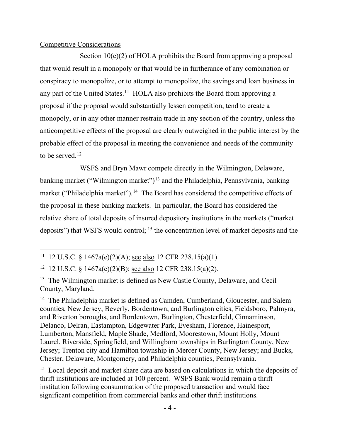### Competitive Considerations

Section 10(e)(2) of HOLA prohibits the Board from approving a proposal that would result in a monopoly or that would be in furtherance of any combination or conspiracy to monopolize, or to attempt to monopolize, the savings and loan business in any part of the United States.<sup>11</sup> HOLA also prohibits the Board from approving a proposal if the proposal would substantially lessen competition, tend to create a monopoly, or in any other manner restrain trade in any section of the country, unless the anticompetitive effects of the proposal are clearly outweighed in the public interest by the probable effect of the proposal in meeting the convenience and needs of the community to be served.[12](#page-3-1)

WSFS and Bryn Mawr compete directly in the Wilmington, Delaware, banking market ("Wilmington market")<sup>[13](#page-3-2)</sup> and the Philadelphia, Pennsylvania, banking market ("Philadelphia market").<sup>[14](#page-3-3)</sup> The Board has considered the competitive effects of the proposal in these banking markets. In particular, the Board has considered the relative share of total deposits of insured depository institutions in the markets ("market deposits") that WSFS would control; <sup>[15](#page-3-4)</sup> the concentration level of market deposits and the

<span id="page-3-4"></span><sup>15</sup> Local deposit and market share data are based on calculations in which the deposits of thrift institutions are included at 100 percent. WSFS Bank would remain a thrift institution following consummation of the proposed transaction and would face significant competition from commercial banks and other thrift institutions.

<span id="page-3-0"></span><sup>&</sup>lt;sup>11</sup> 12 U.S.C. § 1467a(e)(2)(A); see also 12 CFR 238.15(a)(1).

<span id="page-3-1"></span><sup>12 12</sup> U.S.C. § 1467a(e)(2)(B); see also 12 CFR 238.15(a)(2).

<span id="page-3-2"></span><sup>&</sup>lt;sup>13</sup> The Wilmington market is defined as New Castle County, Delaware, and Cecil County, Maryland.

<span id="page-3-3"></span><sup>&</sup>lt;sup>14</sup> The Philadelphia market is defined as Camden, Cumberland, Gloucester, and Salem counties, New Jersey; Beverly, Bordentown, and Burlington cities, Fieldsboro, Palmyra, and Riverton boroughs, and Bordentown, Burlington, Chesterfield, Cinnaminson, Delanco, Delran, Eastampton, Edgewater Park, Evesham, Florence, Hainesport, Lumberton, Mansfield, Maple Shade, Medford, Moorestown, Mount Holly, Mount Laurel, Riverside, Springfield, and Willingboro townships in Burlington County, New Jersey; Trenton city and Hamilton township in Mercer County, New Jersey; and Bucks, Chester, Delaware, Montgomery, and Philadelphia counties, Pennsylvania.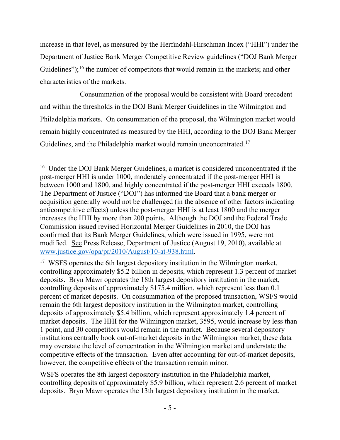increase in that level, as measured by the Herfindahl-Hirschman Index ("HHI") under the Department of Justice Bank Merger Competitive Review guidelines ("DOJ Bank Merger Guidelines");<sup>[16](#page-4-0)</sup> the number of competitors that would remain in the markets; and other characteristics of the markets.

Consummation of the proposal would be consistent with Board precedent and within the thresholds in the DOJ Bank Merger Guidelines in the Wilmington and Philadelphia markets. On consummation of the proposal, the Wilmington market would remain highly concentrated as measured by the HHI, according to the DOJ Bank Merger Guidelines, and the Philadelphia market would remain unconcentrated.<sup>[17](#page-4-1)</sup>

<span id="page-4-0"></span><sup>&</sup>lt;sup>16</sup> Under the DOJ Bank Merger Guidelines, a market is considered unconcentrated if the post-merger HHI is under 1000, moderately concentrated if the post-merger HHI is between 1000 and 1800, and highly concentrated if the post-merger HHI exceeds 1800. The Department of Justice ("DOJ") has informed the Board that a bank merger or acquisition generally would not be challenged (in the absence of other factors indicating anticompetitive effects) unless the post-merger HHI is at least 1800 and the merger increases the HHI by more than 200 points. Although the DOJ and the Federal Trade Commission issued revised Horizontal Merger Guidelines in 2010, the DOJ has confirmed that its Bank Merger Guidelines, which were issued in 1995, were not modified. See Press Release, Department of Justice (August 19, 2010), available at [www.justice.gov/opa/pr/2010/August/10-at-938.html.](http://www.justice.gov/opa/pr/2010/August/10-at-938.html)

<span id="page-4-1"></span><sup>&</sup>lt;sup>17</sup> WSFS operates the 6th largest depository institution in the Wilmington market, controlling approximately \$5.2 billion in deposits, which represent 1.3 percent of market deposits. Bryn Mawr operates the 18th largest depository institution in the market, controlling deposits of approximately \$175.4 million, which represent less than 0.1 percent of market deposits. On consummation of the proposed transaction, WSFS would remain the 6th largest depository institution in the Wilmington market, controlling deposits of approximately \$5.4 billion, which represent approximately 1.4 percent of market deposits. The HHI for the Wilmington market, 3595, would increase by less than 1 point, and 30 competitors would remain in the market. Because several depository institutions centrally book out-of-market deposits in the Wilmington market, these data may overstate the level of concentration in the Wilmington market and understate the competitive effects of the transaction. Even after accounting for out-of-market deposits, however, the competitive effects of the transaction remain minor.

WSFS operates the 8th largest depository institution in the Philadelphia market, controlling deposits of approximately \$5.9 billion, which represent 2.6 percent of market deposits. Bryn Mawr operates the 13th largest depository institution in the market,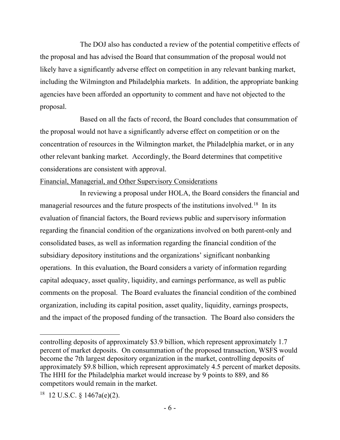The DOJ also has conducted a review of the potential competitive effects of the proposal and has advised the Board that consummation of the proposal would not likely have a significantly adverse effect on competition in any relevant banking market, including the Wilmington and Philadelphia markets. In addition, the appropriate banking agencies have been afforded an opportunity to comment and have not objected to the proposal.

Based on all the facts of record, the Board concludes that consummation of the proposal would not have a significantly adverse effect on competition or on the concentration of resources in the Wilmington market, the Philadelphia market, or in any other relevant banking market. Accordingly, the Board determines that competitive considerations are consistent with approval.

### Financial, Managerial, and Other Supervisory Considerations

In reviewing a proposal under HOLA, the Board considers the financial and managerial resources and the future prospects of the institutions involved.[18](#page-5-0) In its evaluation of financial factors, the Board reviews public and supervisory information regarding the financial condition of the organizations involved on both parent-only and consolidated bases, as well as information regarding the financial condition of the subsidiary depository institutions and the organizations' significant nonbanking operations. In this evaluation, the Board considers a variety of information regarding capital adequacy, asset quality, liquidity, and earnings performance, as well as public comments on the proposal. The Board evaluates the financial condition of the combined organization, including its capital position, asset quality, liquidity, earnings prospects, and the impact of the proposed funding of the transaction. The Board also considers the

controlling deposits of approximately \$3.9 billion, which represent approximately 1.7 percent of market deposits. On consummation of the proposed transaction, WSFS would become the 7th largest depository organization in the market, controlling deposits of approximately \$9.8 billion, which represent approximately 4.5 percent of market deposits. The HHI for the Philadelphia market would increase by 9 points to 889, and 86 competitors would remain in the market.

<span id="page-5-0"></span><sup>&</sup>lt;sup>18</sup> 12 U.S.C. § 1467a(e)(2).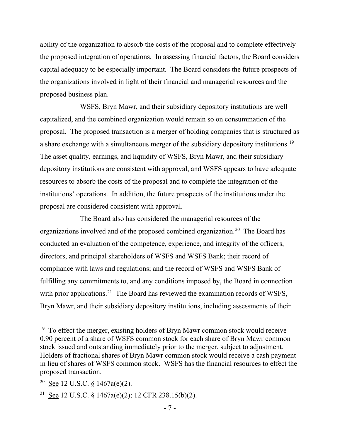ability of the organization to absorb the costs of the proposal and to complete effectively the proposed integration of operations. In assessing financial factors, the Board considers capital adequacy to be especially important. The Board considers the future prospects of the organizations involved in light of their financial and managerial resources and the proposed business plan.

WSFS, Bryn Mawr, and their subsidiary depository institutions are well capitalized, and the combined organization would remain so on consummation of the proposal. The proposed transaction is a merger of holding companies that is structured as a share exchange with a simultaneous merger of the subsidiary depository institutions.[19](#page-6-0) The asset quality, earnings, and liquidity of WSFS, Bryn Mawr, and their subsidiary depository institutions are consistent with approval, and WSFS appears to have adequate resources to absorb the costs of the proposal and to complete the integration of the institutions' operations. In addition, the future prospects of the institutions under the proposal are considered consistent with approval.

The Board also has considered the managerial resources of the organizations involved and of the proposed combined organization.<sup>[20](#page-6-1)</sup> The Board has conducted an evaluation of the competence, experience, and integrity of the officers, directors, and principal shareholders of WSFS and WSFS Bank; their record of compliance with laws and regulations; and the record of WSFS and WSFS Bank of fulfilling any commitments to, and any conditions imposed by, the Board in connection with prior applications.<sup>21</sup> The Board has reviewed the examination records of WSFS, Bryn Mawr, and their subsidiary depository institutions, including assessments of their

<span id="page-6-0"></span> $19$  To effect the merger, existing holders of Bryn Mawr common stock would receive 0.90 percent of a share of WSFS common stock for each share of Bryn Mawr common stock issued and outstanding immediately prior to the merger, subject to adjustment. Holders of fractional shares of Bryn Mawr common stock would receive a cash payment in lieu of shares of WSFS common stock. WSFS has the financial resources to effect the proposed transaction.

<span id="page-6-1"></span><sup>&</sup>lt;sup>20</sup> See 12 U.S.C. § 1467a(e)(2).

<span id="page-6-2"></span><sup>&</sup>lt;sup>21</sup> See 12 U.S.C. § 1467a(e)(2); 12 CFR 238.15(b)(2).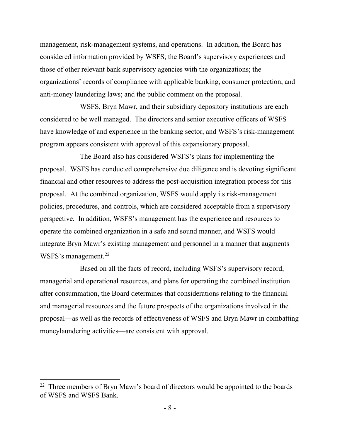management, risk-management systems, and operations. In addition, the Board has considered information provided by WSFS; the Board's supervisory experiences and those of other relevant bank supervisory agencies with the organizations; the organizations' records of compliance with applicable banking, consumer protection, and anti-money laundering laws; and the public comment on the proposal.

WSFS, Bryn Mawr, and their subsidiary depository institutions are each considered to be well managed. The directors and senior executive officers of WSFS have knowledge of and experience in the banking sector, and WSFS's risk-management program appears consistent with approval of this expansionary proposal.

The Board also has considered WSFS's plans for implementing the proposal. WSFS has conducted comprehensive due diligence and is devoting significant financial and other resources to address the post-acquisition integration process for this proposal. At the combined organization, WSFS would apply its risk-management policies, procedures, and controls, which are considered acceptable from a supervisory perspective. In addition, WSFS's management has the experience and resources to operate the combined organization in a safe and sound manner, and WSFS would integrate Bryn Mawr's existing management and personnel in a manner that augments WSFS's management.<sup>[22](#page-7-0)</sup>

Based on all the facts of record, including WSFS's supervisory record, managerial and operational resources, and plans for operating the combined institution after consummation, the Board determines that considerations relating to the financial and managerial resources and the future prospects of the organizations involved in the proposal—as well as the records of effectiveness of WSFS and Bryn Mawr in combatting moneylaundering activities—are consistent with approval.

<span id="page-7-0"></span> $22$  Three members of Bryn Mawr's board of directors would be appointed to the boards of WSFS and WSFS Bank.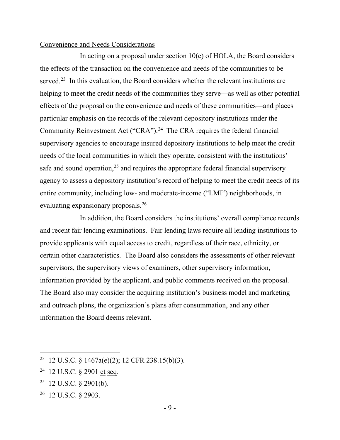#### Convenience and Needs Considerations

In acting on a proposal under section  $10(e)$  of HOLA, the Board considers the effects of the transaction on the convenience and needs of the communities to be served.<sup>[23](#page-8-0)</sup> In this evaluation, the Board considers whether the relevant institutions are helping to meet the credit needs of the communities they serve—as well as other potential effects of the proposal on the convenience and needs of these communities—and places particular emphasis on the records of the relevant depository institutions under the Community Reinvestment Act ("CRA").<sup>[24](#page-8-1)</sup> The CRA requires the federal financial supervisory agencies to encourage insured depository institutions to help meet the credit needs of the local communities in which they operate, consistent with the institutions' safe and sound operation, $25$  and requires the appropriate federal financial supervisory agency to assess a depository institution's record of helping to meet the credit needs of its entire community, including low- and moderate-income ("LMI") neighborhoods, in evaluating expansionary proposals.<sup>[26](#page-8-3)</sup>

In addition, the Board considers the institutions' overall compliance records and recent fair lending examinations. Fair lending laws require all lending institutions to provide applicants with equal access to credit, regardless of their race, ethnicity, or certain other characteristics. The Board also considers the assessments of other relevant supervisors, the supervisory views of examiners, other supervisory information, information provided by the applicant, and public comments received on the proposal. The Board also may consider the acquiring institution's business model and marketing and outreach plans, the organization's plans after consummation, and any other information the Board deems relevant.

- <span id="page-8-1"></span>24 12 U.S.C. § 2901 et seq.
- <span id="page-8-2"></span>25 12 U.S.C. § 2901(b).
- <span id="page-8-3"></span>26 12 U.S.C. § 2903.

<span id="page-8-0"></span><sup>23</sup> 12 U.S.C. § 1467a(e)(2); 12 CFR 238.15(b)(3).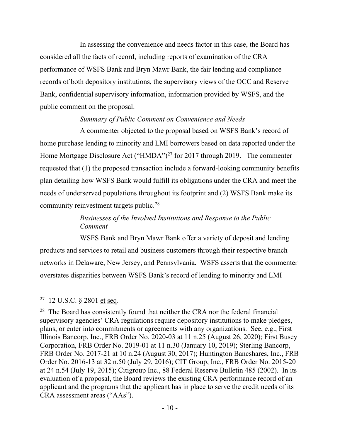In assessing the convenience and needs factor in this case, the Board has considered all the facts of record, including reports of examination of the CRA performance of WSFS Bank and Bryn Mawr Bank, the fair lending and compliance records of both depository institutions, the supervisory views of the OCC and Reserve Bank, confidential supervisory information, information provided by WSFS, and the public comment on the proposal.

# *Summary of Public Comment on Convenience and Needs*

A commenter objected to the proposal based on WSFS Bank's record of home purchase lending to minority and LMI borrowers based on data reported under the Home Mortgage Disclosure Act ("HMDA")<sup>[27](#page-9-0)</sup> for 2017 through 2019. The commenter requested that (1) the proposed transaction include a forward-looking community benefits plan detailing how WSFS Bank would fulfill its obligations under the CRA and meet the needs of underserved populations throughout its footprint and (2) WSFS Bank make its community reinvestment targets public.<sup>[28](#page-9-1)</sup>

# *Businesses of the Involved Institutions and Response to the Public Comment*

WSFS Bank and Bryn Mawr Bank offer a variety of deposit and lending products and services to retail and business customers through their respective branch networks in Delaware, New Jersey, and Pennsylvania. WSFS asserts that the commenter overstates disparities between WSFS Bank's record of lending to minority and LMI

<span id="page-9-0"></span><sup>27 12</sup> U.S.C. § 2801 et seq.

<span id="page-9-1"></span><sup>&</sup>lt;sup>28</sup> The Board has consistently found that neither the CRA nor the federal financial supervisory agencies' CRA regulations require depository institutions to make pledges, plans, or enter into commitments or agreements with any organizations. See, e.g., First Illinois Bancorp, Inc., FRB Order No. 2020-03 at 11 n.25 (August 26, 2020); First Busey Corporation, FRB Order No. 2019-01 at 11 n.30 (January 10, 2019); Sterling Bancorp, FRB Order No. 2017-21 at 10 n.24 (August 30, 2017); Huntington Bancshares, Inc., FRB Order No. 2016-13 at 32 n.50 (July 29, 2016); CIT Group, Inc., FRB Order No. 2015-20 at 24 n.54 (July 19, 2015); Citigroup Inc., 88 Federal Reserve Bulletin 485 (2002). In its evaluation of a proposal, the Board reviews the existing CRA performance record of an applicant and the programs that the applicant has in place to serve the credit needs of its CRA assessment areas ("AAs").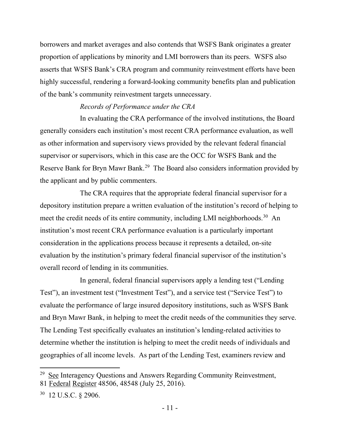borrowers and market averages and also contends that WSFS Bank originates a greater proportion of applications by minority and LMI borrowers than its peers. WSFS also asserts that WSFS Bank's CRA program and community reinvestment efforts have been highly successful, rendering a forward-looking community benefits plan and publication of the bank's community reinvestment targets unnecessary.

#### *Records of Performance under the CRA*

In evaluating the CRA performance of the involved institutions, the Board generally considers each institution's most recent CRA performance evaluation, as well as other information and supervisory views provided by the relevant federal financial supervisor or supervisors, which in this case are the OCC for WSFS Bank and the Reserve Bank for Bryn Mawr Bank.<sup>29</sup> The Board also considers information provided by the applicant and by public commenters.

The CRA requires that the appropriate federal financial supervisor for a depository institution prepare a written evaluation of the institution's record of helping to meet the credit needs of its entire community, including LMI neighborhoods.<sup>30</sup> An institution's most recent CRA performance evaluation is a particularly important consideration in the applications process because it represents a detailed, on-site evaluation by the institution's primary federal financial supervisor of the institution's overall record of lending in its communities.

In general, federal financial supervisors apply a lending test ("Lending Test"), an investment test ("Investment Test"), and a service test ("Service Test") to evaluate the performance of large insured depository institutions, such as WSFS Bank and Bryn Mawr Bank, in helping to meet the credit needs of the communities they serve. The Lending Test specifically evaluates an institution's lending-related activities to determine whether the institution is helping to meet the credit needs of individuals and geographies of all income levels. As part of the Lending Test, examiners review and

<span id="page-10-0"></span><sup>&</sup>lt;sup>29</sup> See Interagency Questions and Answers Regarding Community Reinvestment, 81 Federal Register 48506, 48548 (July 25, 2016).

<span id="page-10-1"></span><sup>30 12</sup> U.S.C. § 2906.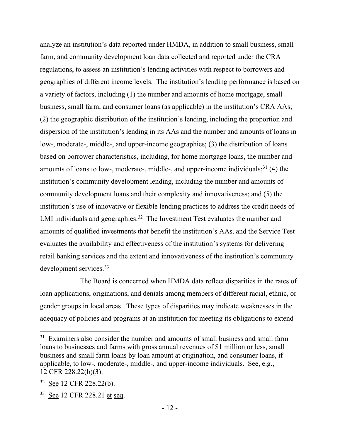analyze an institution's data reported under HMDA, in addition to small business, small farm, and community development loan data collected and reported under the CRA regulations, to assess an institution's lending activities with respect to borrowers and geographies of different income levels. The institution's lending performance is based on a variety of factors, including (1) the number and amounts of home mortgage, small business, small farm, and consumer loans (as applicable) in the institution's CRA AAs; (2) the geographic distribution of the institution's lending, including the proportion and dispersion of the institution's lending in its AAs and the number and amounts of loans in low-, moderate-, middle-, and upper-income geographies; (3) the distribution of loans based on borrower characteristics, including, for home mortgage loans, the number and amounts of loans to low-, moderate-, middle-, and upper-income individuals; $31$  (4) the institution's community development lending, including the number and amounts of community development loans and their complexity and innovativeness; and (5) the institution's use of innovative or flexible lending practices to address the credit needs of LMI individuals and geographies.<sup>[32](#page-11-1)</sup> The Investment Test evaluates the number and amounts of qualified investments that benefit the institution's AAs, and the Service Test evaluates the availability and effectiveness of the institution's systems for delivering retail banking services and the extent and innovativeness of the institution's community development services.<sup>33</sup>

The Board is concerned when HMDA data reflect disparities in the rates of loan applications, originations, and denials among members of different racial, ethnic, or gender groups in local areas. These types of disparities may indicate weaknesses in the adequacy of policies and programs at an institution for meeting its obligations to extend

<span id="page-11-0"></span> $31$  Examiners also consider the number and amounts of small business and small farm loans to businesses and farms with gross annual revenues of \$1 million or less, small business and small farm loans by loan amount at origination, and consumer loans, if applicable, to low-, moderate-, middle-, and upper-income individuals. See, e.g., 12 CFR 228.22(b)(3).

<span id="page-11-1"></span><sup>32</sup> See 12 CFR 228.22(b).

<span id="page-11-2"></span><sup>33</sup> See 12 CFR 228.21 et seq.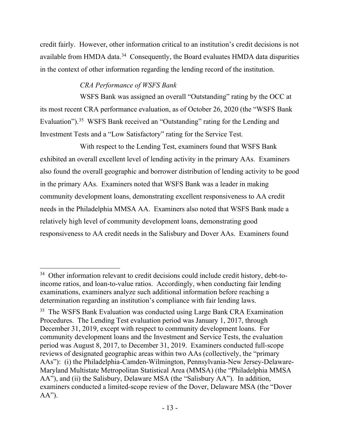credit fairly. However, other information critical to an institution's credit decisions is not available from HMDA data.<sup>34</sup> Consequently, the Board evaluates HMDA data disparities in the context of other information regarding the lending record of the institution.

# *CRA Performance of WSFS Bank*

WSFS Bank was assigned an overall "Outstanding" rating by the OCC at its most recent CRA performance evaluation, as of October 26, 2020 (the "WSFS Bank Evaluation").<sup>35</sup> WSFS Bank received an "Outstanding" rating for the Lending and Investment Tests and a "Low Satisfactory" rating for the Service Test.

With respect to the Lending Test, examiners found that WSFS Bank exhibited an overall excellent level of lending activity in the primary AAs. Examiners also found the overall geographic and borrower distribution of lending activity to be good in the primary AAs. Examiners noted that WSFS Bank was a leader in making community development loans, demonstrating excellent responsiveness to AA credit needs in the Philadelphia MMSA AA. Examiners also noted that WSFS Bank made a relatively high level of community development loans, demonstrating good responsiveness to AA credit needs in the Salisbury and Dover AAs. Examiners found

<span id="page-12-0"></span><sup>&</sup>lt;sup>34</sup> Other information relevant to credit decisions could include credit history, debt-toincome ratios, and loan-to-value ratios. Accordingly, when conducting fair lending examinations, examiners analyze such additional information before reaching a determination regarding an institution's compliance with fair lending laws.

<span id="page-12-1"></span><sup>&</sup>lt;sup>35</sup> The WSFS Bank Evaluation was conducted using Large Bank CRA Examination Procedures. The Lending Test evaluation period was January 1, 2017, through December 31, 2019, except with respect to community development loans. For community development loans and the Investment and Service Tests, the evaluation period was August 8, 2017, to December 31, 2019. Examiners conducted full-scope reviews of designated geographic areas within two AAs (collectively, the "primary AAs"): (i) the Philadelphia-Camden-Wilmington, Pennsylvania-New Jersey-Delaware-Maryland Multistate Metropolitan Statistical Area (MMSA) (the "Philadelphia MMSA AA"), and (ii) the Salisbury, Delaware MSA (the "Salisbury AA"). In addition, examiners conducted a limited-scope review of the Dover, Delaware MSA (the "Dover  $AA$ ").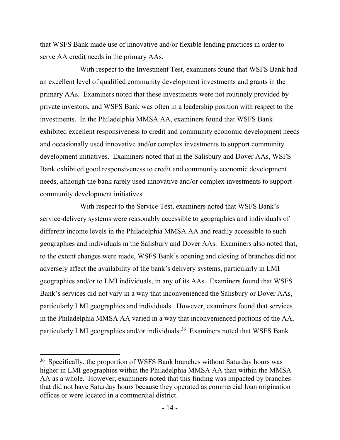that WSFS Bank made use of innovative and/or flexible lending practices in order to serve AA credit needs in the primary AAs.

With respect to the Investment Test, examiners found that WSFS Bank had an excellent level of qualified community development investments and grants in the primary AAs. Examiners noted that these investments were not routinely provided by private investors, and WSFS Bank was often in a leadership position with respect to the investments. In the Philadelphia MMSA AA, examiners found that WSFS Bank exhibited excellent responsiveness to credit and community economic development needs and occasionally used innovative and/or complex investments to support community development initiatives. Examiners noted that in the Salisbury and Dover AAs, WSFS Bank exhibited good responsiveness to credit and community economic development needs, although the bank rarely used innovative and/or complex investments to support community development initiatives.

With respect to the Service Test, examiners noted that WSFS Bank's service-delivery systems were reasonably accessible to geographies and individuals of different income levels in the Philadelphia MMSA AA and readily accessible to such geographies and individuals in the Salisbury and Dover AAs. Examiners also noted that, to the extent changes were made, WSFS Bank's opening and closing of branches did not adversely affect the availability of the bank's delivery systems, particularly in LMI geographies and/or to LMI individuals, in any of its AAs. Examiners found that WSFS Bank's services did not vary in a way that inconvenienced the Salisbury or Dover AAs, particularly LMI geographies and individuals. However, examiners found that services in the Philadelphia MMSA AA varied in a way that inconvenienced portions of the AA, particularly LMI geographies and/or individuals.[36](#page-13-0) Examiners noted that WSFS Bank

<span id="page-13-0"></span><sup>&</sup>lt;sup>36</sup> Specifically, the proportion of WSFS Bank branches without Saturday hours was higher in LMI geographies within the Philadelphia MMSA AA than within the MMSA AA as a whole. However, examiners noted that this finding was impacted by branches that did not have Saturday hours because they operated as commercial loan origination offices or were located in a commercial district.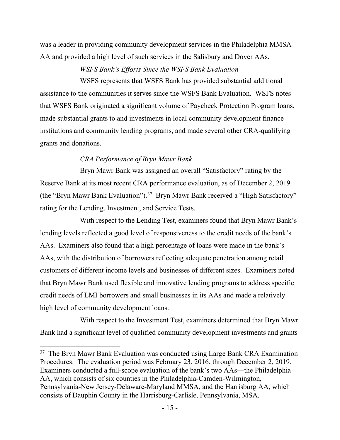was a leader in providing community development services in the Philadelphia MMSA AA and provided a high level of such services in the Salisbury and Dover AAs.

### *WSFS Bank's Efforts Since the WSFS Bank Evaluation*

WSFS represents that WSFS Bank has provided substantial additional assistance to the communities it serves since the WSFS Bank Evaluation. WSFS notes that WSFS Bank originated a significant volume of Paycheck Protection Program loans, made substantial grants to and investments in local community development finance institutions and community lending programs, and made several other CRA-qualifying grants and donations.

## *CRA Performance of Bryn Mawr Bank*

Bryn Mawr Bank was assigned an overall "Satisfactory" rating by the Reserve Bank at its most recent CRA performance evaluation, as of December 2, 2019 (the "Bryn Mawr Bank Evaluation").[37](#page-14-0) Bryn Mawr Bank received a "High Satisfactory" rating for the Lending, Investment, and Service Tests.

With respect to the Lending Test, examiners found that Bryn Mawr Bank's lending levels reflected a good level of responsiveness to the credit needs of the bank's AAs. Examiners also found that a high percentage of loans were made in the bank's AAs, with the distribution of borrowers reflecting adequate penetration among retail customers of different income levels and businesses of different sizes. Examiners noted that Bryn Mawr Bank used flexible and innovative lending programs to address specific credit needs of LMI borrowers and small businesses in its AAs and made a relatively high level of community development loans.

With respect to the Investment Test, examiners determined that Bryn Mawr Bank had a significant level of qualified community development investments and grants

<span id="page-14-0"></span> $37$  The Bryn Mawr Bank Evaluation was conducted using Large Bank CRA Examination Procedures. The evaluation period was February 23, 2016, through December 2, 2019. Examiners conducted a full-scope evaluation of the bank's two AAs—the Philadelphia AA, which consists of six counties in the Philadelphia-Camden-Wilmington, Pennsylvania-New Jersey-Delaware-Maryland MMSA, and the Harrisburg AA, which consists of Dauphin County in the Harrisburg-Carlisle, Pennsylvania, MSA.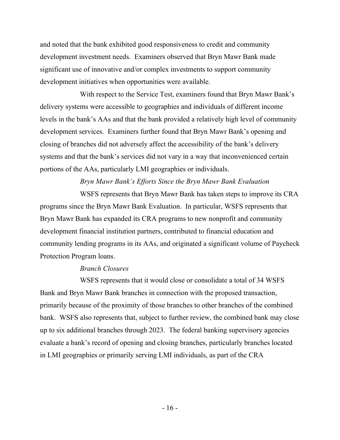and noted that the bank exhibited good responsiveness to credit and community development investment needs. Examiners observed that Bryn Mawr Bank made significant use of innovative and/or complex investments to support community development initiatives when opportunities were available.

With respect to the Service Test, examiners found that Bryn Mawr Bank's delivery systems were accessible to geographies and individuals of different income levels in the bank's AAs and that the bank provided a relatively high level of community development services. Examiners further found that Bryn Mawr Bank's opening and closing of branches did not adversely affect the accessibility of the bank's delivery systems and that the bank's services did not vary in a way that inconvenienced certain portions of the AAs, particularly LMI geographies or individuals.

# *Bryn Mawr Bank's Efforts Since the Bryn Mawr Bank Evaluation*

WSFS represents that Bryn Mawr Bank has taken steps to improve its CRA programs since the Bryn Mawr Bank Evaluation. In particular, WSFS represents that Bryn Mawr Bank has expanded its CRA programs to new nonprofit and community development financial institution partners, contributed to financial education and community lending programs in its AAs, and originated a significant volume of Paycheck Protection Program loans.

#### *Branch Closures*

WSFS represents that it would close or consolidate a total of 34 WSFS Bank and Bryn Mawr Bank branches in connection with the proposed transaction, primarily because of the proximity of those branches to other branches of the combined bank. WSFS also represents that, subject to further review, the combined bank may close up to six additional branches through 2023. The federal banking supervisory agencies evaluate a bank's record of opening and closing branches, particularly branches located in LMI geographies or primarily serving LMI individuals, as part of the CRA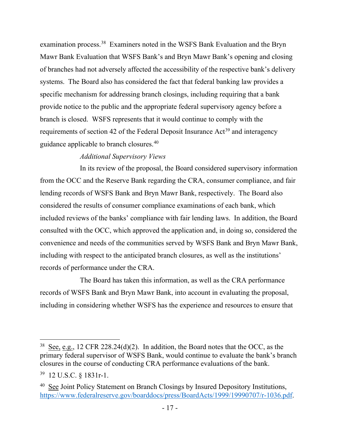examination process.[38](#page-16-0) Examiners noted in the WSFS Bank Evaluation and the Bryn Mawr Bank Evaluation that WSFS Bank's and Bryn Mawr Bank's opening and closing of branches had not adversely affected the accessibility of the respective bank's delivery systems. The Board also has considered the fact that federal banking law provides a specific mechanism for addressing branch closings, including requiring that a bank provide notice to the public and the appropriate federal supervisory agency before a branch is closed. WSFS represents that it would continue to comply with the requirements of section 42 of the Federal Deposit Insurance Act<sup>[39](#page-16-1)</sup> and interagency guidance applicable to branch closures.[40](#page-16-2)

# *Additional Supervisory Views*

In its review of the proposal, the Board considered supervisory information from the OCC and the Reserve Bank regarding the CRA, consumer compliance, and fair lending records of WSFS Bank and Bryn Mawr Bank, respectively. The Board also considered the results of consumer compliance examinations of each bank, which included reviews of the banks' compliance with fair lending laws. In addition, the Board consulted with the OCC, which approved the application and, in doing so, considered the convenience and needs of the communities served by WSFS Bank and Bryn Mawr Bank, including with respect to the anticipated branch closures, as well as the institutions' records of performance under the CRA.

The Board has taken this information, as well as the CRA performance records of WSFS Bank and Bryn Mawr Bank, into account in evaluating the proposal, including in considering whether WSFS has the experience and resources to ensure that

<span id="page-16-0"></span><sup>&</sup>lt;sup>38</sup> See, e.g., 12 CFR 228.24(d)(2). In addition, the Board notes that the OCC, as the primary federal supervisor of WSFS Bank, would continue to evaluate the bank's branch closures in the course of conducting CRA performance evaluations of the bank.

<span id="page-16-1"></span><sup>39 12</sup> U.S.C. § 1831r-1.

<span id="page-16-2"></span><sup>&</sup>lt;sup>40</sup> See Joint Policy Statement on Branch Closings by Insured Depository Institutions, [https://www.federalreserve.gov/boarddocs/press/BoardActs/1999/19990707/r-1036.pdf.](https://www.federalreserve.gov/boarddocs/press/BoardActs/1999/19990707/r-1036.pdf)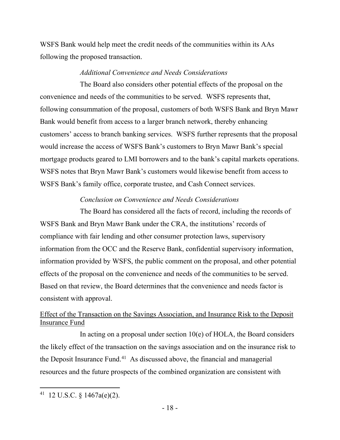WSFS Bank would help meet the credit needs of the communities within its AAs following the proposed transaction.

## *Additional Convenience and Needs Considerations*

The Board also considers other potential effects of the proposal on the convenience and needs of the communities to be served. WSFS represents that, following consummation of the proposal, customers of both WSFS Bank and Bryn Mawr Bank would benefit from access to a larger branch network, thereby enhancing customers' access to branch banking services. WSFS further represents that the proposal would increase the access of WSFS Bank's customers to Bryn Mawr Bank's special mortgage products geared to LMI borrowers and to the bank's capital markets operations. WSFS notes that Bryn Mawr Bank's customers would likewise benefit from access to WSFS Bank's family office, corporate trustee, and Cash Connect services.

## *Conclusion on Convenience and Needs Considerations*

The Board has considered all the facts of record, including the records of WSFS Bank and Bryn Mawr Bank under the CRA, the institutions' records of compliance with fair lending and other consumer protection laws, supervisory information from the OCC and the Reserve Bank, confidential supervisory information, information provided by WSFS, the public comment on the proposal, and other potential effects of the proposal on the convenience and needs of the communities to be served. Based on that review, the Board determines that the convenience and needs factor is consistent with approval.

# Effect of the Transaction on the Savings Association, and Insurance Risk to the Deposit Insurance Fund

In acting on a proposal under section  $10(e)$  of HOLA, the Board considers the likely effect of the transaction on the savings association and on the insurance risk to the Deposit Insurance Fund.<sup>41</sup> As discussed above, the financial and managerial resources and the future prospects of the combined organization are consistent with

<span id="page-17-0"></span> $41$  12 U.S.C. § 1467a(e)(2).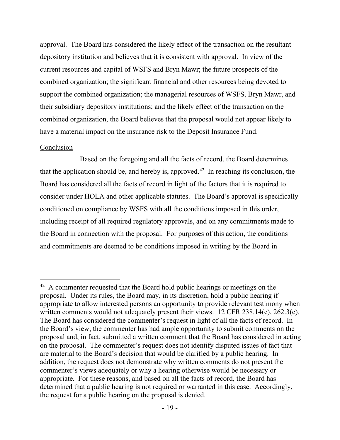approval. The Board has considered the likely effect of the transaction on the resultant depository institution and believes that it is consistent with approval. In view of the current resources and capital of WSFS and Bryn Mawr; the future prospects of the combined organization; the significant financial and other resources being devoted to support the combined organization; the managerial resources of WSFS, Bryn Mawr, and their subsidiary depository institutions; and the likely effect of the transaction on the combined organization, the Board believes that the proposal would not appear likely to have a material impact on the insurance risk to the Deposit Insurance Fund.

#### Conclusion

Based on the foregoing and all the facts of record, the Board determines that the application should be, and hereby is, approved.<sup>[42](#page-18-0)</sup> In reaching its conclusion, the Board has considered all the facts of record in light of the factors that it is required to consider under HOLA and other applicable statutes. The Board's approval is specifically conditioned on compliance by WSFS with all the conditions imposed in this order, including receipt of all required regulatory approvals, and on any commitments made to the Board in connection with the proposal. For purposes of this action, the conditions and commitments are deemed to be conditions imposed in writing by the Board in

<span id="page-18-0"></span><sup>&</sup>lt;sup>42</sup> A commenter requested that the Board hold public hearings or meetings on the proposal. Under its rules, the Board may, in its discretion, hold a public hearing if appropriate to allow interested persons an opportunity to provide relevant testimony when written comments would not adequately present their views. 12 CFR 238.14(e), 262.3(e). The Board has considered the commenter's request in light of all the facts of record. In the Board's view, the commenter has had ample opportunity to submit comments on the proposal and, in fact, submitted a written comment that the Board has considered in acting on the proposal. The commenter's request does not identify disputed issues of fact that are material to the Board's decision that would be clarified by a public hearing. In addition, the request does not demonstrate why written comments do not present the commenter's views adequately or why a hearing otherwise would be necessary or appropriate. For these reasons, and based on all the facts of record, the Board has determined that a public hearing is not required or warranted in this case. Accordingly, the request for a public hearing on the proposal is denied.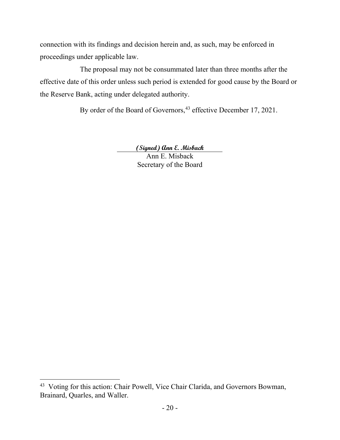connection with its findings and decision herein and, as such, may be enforced in proceedings under applicable law.

The proposal may not be consummated later than three months after the effective date of this order unless such period is extended for good cause by the Board or the Reserve Bank, acting under delegated authority.

By order of the Board of Governors,<sup>[43](#page-19-0)</sup> effective December 17, 2021.

**(Signed) Ann E. Misback**

Ann E. Misback Secretary of the Board

<span id="page-19-0"></span><sup>43</sup> Voting for this action: Chair Powell, Vice Chair Clarida, and Governors Bowman, Brainard, Quarles, and Waller.